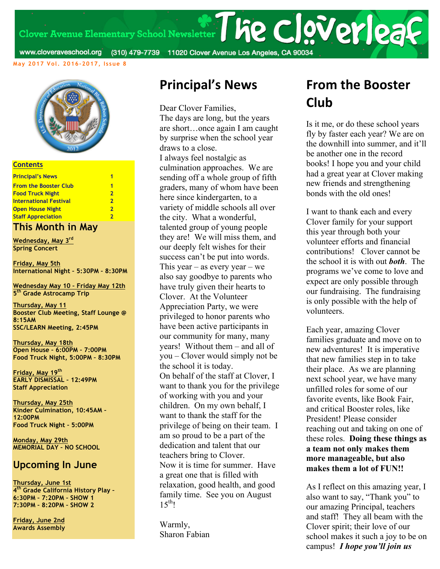Clover Avenue Elementary School Newsletter | he clover | 23

www.cloveraveschool.org (310) 479-7739 11020 Clover Avenue Los Angeles, CA 90034

**May 2017 Vol. 2016-2017, Issue 8**



#### **Contents**

| <b>Principal's News</b>       | 1 |
|-------------------------------|---|
| <b>From the Booster Club</b>  | 1 |
| <b>Food Truck Night</b>       | 2 |
| <b>International Festival</b> | 2 |
| <b>Open House Night</b>       | 2 |
| <b>Staff Appreciation</b>     |   |

#### **This Month in May**

**Wednesday, May 3rd Spring Concert**

**Friday, May 5th International Night – 5:30PM – 8:30PM**

**Wednesday May 10 – Friday May 12th 5th Grade Astrocamp Trip**

**Thursday, May 11 Booster Club Meeting, Staff Lounge @ 8:15AM SSC/LEARN Meeting, 2:45PM**

**Thursday, May 18th Open House – 6:00PM – 7:00PM Food Truck Night, 5:00PM – 8:30PM**

**Friday, May 19th EARLY DISMISSAL – 12:49PM Staff Appreciation**

**Thursday, May 25th Kinder Culmination, 10:45AM – 12:00PM Food Truck Night – 5:00PM**

**Monday, May 29th MEMORIAL DAY – NO SCHOOL**

### **Upcoming In June**

**Thursday, June 1st 4th Grade California History Play – 6:30PM – 7:20PM – SHOW 1 7:30PM – 8:20PM – SHOW 2**

**Friday, June 2nd Awards Assembly**

### **Principal's News**

Dear Clover Families, The days are long, but the years are short…once again I am caught by surprise when the school year draws to a close. I always feel nostalgic as culmination approaches. We are sending off a whole group of fifth graders, many of whom have been here since kindergarten, to a variety of middle schools all over the city. What a wonderful, talented group of young people they are! We will miss them, and our deeply felt wishes for their success can't be put into words. This year – as every year – we also say goodbye to parents who have truly given their hearts to Clover. At the Volunteer Appreciation Party, we were privileged to honor parents who have been active participants in our community for many, many years! Without them – and all of you – Clover would simply not be the school it is today. On behalf of the staff at Clover, I want to thank you for the privilege of working with you and your children. On my own behalf, I want to thank the staff for the privilege of being on their team. I am so proud to be a part of the dedication and talent that our teachers bring to Clover. Now it is time for summer. Have a great one that is filled with relaxation, good health, and good family time. See you on August  $15^{th}$ !

Warmly, Sharon Fabian

## **From the Booster Club**

Is it me, or do these school years fly by faster each year? We are on the downhill into summer, and it'll be another one in the record books! I hope you and your child had a great year at Clover making new friends and strengthening bonds with the old ones!

I want to thank each and every Clover family for your support this year through both your volunteer efforts and financial contributions! Clover cannot be the school it is with out *both*. The programs we've come to love and expect are only possible through our fundraising. The fundraising is only possible with the help of volunteers.

Each year, amazing Clover families graduate and move on to new adventures! It is imperative that new families step in to take their place. As we are planning next school year, we have many unfilled roles for some of our favorite events, like Book Fair, and critical Booster roles, like President! Please consider reaching out and taking on one of these roles. **Doing these things as a team not only makes them more manageable, but also makes them a lot of FUN!!** 

As I reflect on this amazing year, I also want to say, "Thank you" to our amazing Principal, teachers and staff! They all beam with the Clover spirit; their love of our school makes it such a joy to be on campus! *I hope you'll join us*